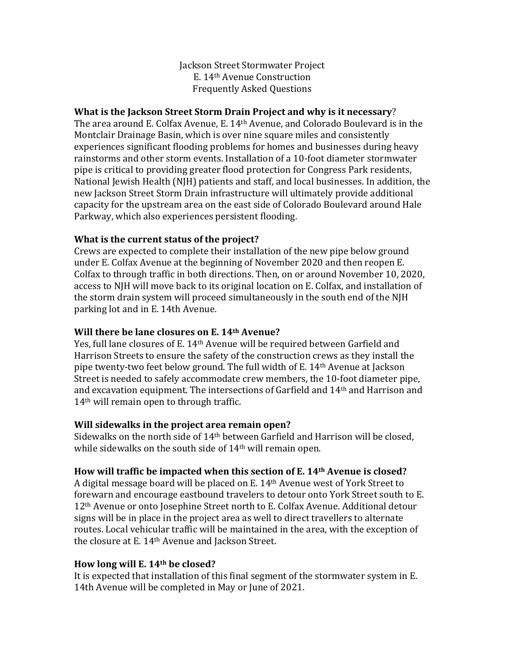Jackson Street Stormwater Project E. 14th Avenue Construction Frequently Asked Questions

#### **What is the Jackson Street Storm Drain Project and why is it necessary**?

The area around E. Colfax Avenue, E. 14th Avenue, and Colorado Boulevard is in the Montclair Drainage Basin, which is over nine square miles and consistently experiences significant flooding problems for homes and businesses during heavy rainstorms and other storm events. Installation of a 10-foot diameter stormwater pipe is critical to providing greater flood protection for Congress Park residents, National Jewish Health (NJH) patients and staff, and local businesses. In addition, the new Jackson Street Storm Drain infrastructure will ultimately provide additional capacity for the upstream area on the east side of Colorado Boulevard around Hale Parkway, which also experiences persistent flooding.

### **What is the current status of the project?**

Crews are expected to complete their installation of the new pipe below ground under E. Colfax Avenue at the beginning of November 2020 and then reopen E. Colfax to through traffic in both directions. Then, on or around November 10, 2020, access to NJH will move back to its original location on E. Colfax, and installation of the storm drain system will proceed simultaneously in the south end of the NJH parking lot and in E. 14th Avenue.

### **Will there be lane closures on E. 14th Avenue?**

Yes, full lane closures of E. 14th Avenue will be required between Garfield and Harrison Streets to ensure the safety of the construction crews as they install the pipe twenty-two feet below ground. The full width of E. 14th Avenue at Jackson Street is needed to safely accommodate crew members, the 10-foot diameter pipe, and excavation equipment. The intersections of Garfield and 14th and Harrison and 14th will remain open to through traffic.

### **Will sidewalks in the project area remain open?**

Sidewalks on the north side of 14th between Garfield and Harrison will be closed, while sidewalks on the south side of 14<sup>th</sup> will remain open.

# **How will traffic be impacted when this section of E. 14th Avenue is closed?**

A digital message board will be placed on E. 14th Avenue west of York Street to forewarn and encourage eastbound travelers to detour onto York Street south to E. 12th Avenue or onto Josephine Street north to E. Colfax Avenue. Additional detour signs will be in place in the project area as well to direct travellers to alternate routes. Local vehicular traffic will be maintained in the area, with the exception of the closure at E. 14th Avenue and Jackson Street.

# **How long will E. 14th be closed?**

It is expected that installation of this final segment of the stormwater system in E. 14th Avenue will be completed in May or June of 2021.